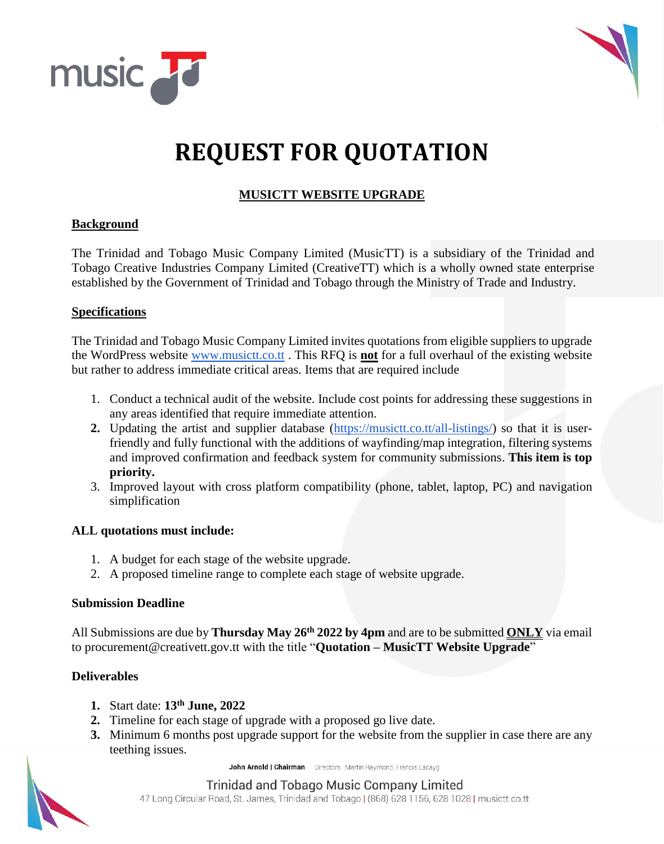



# **REQUEST FOR QUOTATION**

## **MUSICTT WEBSITE UPGRADE**

#### **Background**

The Trinidad and Tobago Music Company Limited (MusicTT) is a subsidiary of the Trinidad and Tobago Creative Industries Company Limited (CreativeTT) which is a wholly owned state enterprise established by the Government of Trinidad and Tobago through the Ministry of Trade and Industry.

#### **Specifications**

The Trinidad and Tobago Music Company Limited invites quotations from eligible suppliers to upgrade the WordPress website [www.musictt.co.tt](http://www.musictt.co.tt/) . This RFQ is **not** for a full overhaul of the existing website but rather to address immediate critical areas. Items that are required include

- 1. Conduct a technical audit of the website. Include cost points for addressing these suggestions in any areas identified that require immediate attention.
- **2.** Updating the artist and supplier database [\(https://musictt.co.tt/all-listings/\)](https://musictt.co.tt/all-listings/) so that it is userfriendly and fully functional with the additions of wayfinding/map integration, filtering systems and improved confirmation and feedback system for community submissions. **This item is top priority.**
- 3. Improved layout with cross platform compatibility (phone, tablet, laptop, PC) and navigation simplification

## **ALL quotations must include:**

- 1. A budget for each stage of the website upgrade.
- 2. A proposed timeline range to complete each stage of website upgrade.

#### **Submission Deadline**

All Submissions are due by **Thursday May 26 th 2022 by 4pm** and are to be submitted **ONLY** via email to procurement@creativett.gov.tt with the title "**Quotation – MusicTT Website Upgrade**"

## **Deliverables**

- **1.** Start date: **13th June, 2022**
- **2.** Timeline for each stage of upgrade with a proposed go live date.
- **3.** Minimum 6 months post upgrade support for the website from the supplier in case there are any teething issues.

John Arnold | Chairman Directors: Martin Raymond, Francis Escayg



Trinidad and Tobago Music Company Limited